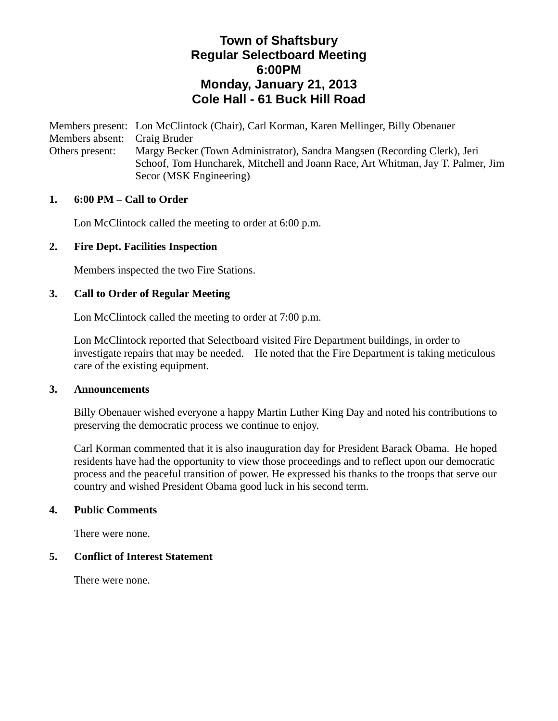# **Town of Shaftsbury Regular Selectboard Meeting 6:00PM Monday, January 21, 2013 Cole Hall - 61 Buck Hill Road**

Members present: Lon McClintock (Chair), Carl Korman, Karen Mellinger, Billy Obenauer Members absent: Craig Bruder Others present: Margy Becker (Town Administrator), Sandra Mangsen (Recording Clerk), Jeri Schoof, Tom Huncharek, Mitchell and Joann Race, Art Whitman, Jay T. Palmer, Jim Secor (MSK Engineering)

#### **1. 6:00 PM – Call to Order**

Lon McClintock called the meeting to order at 6:00 p.m.

## **2. Fire Dept. Facilities Inspection**

Members inspected the two Fire Stations.

#### **3. Call to Order of Regular Meeting**

Lon McClintock called the meeting to order at 7:00 p.m.

Lon McClintock reported that Selectboard visited Fire Department buildings, in order to investigate repairs that may be needed. He noted that the Fire Department is taking meticulous care of the existing equipment.

#### **3. Announcements**

Billy Obenauer wished everyone a happy Martin Luther King Day and noted his contributions to preserving the democratic process we continue to enjoy.

Carl Korman commented that it is also inauguration day for President Barack Obama. He hoped residents have had the opportunity to view those proceedings and to reflect upon our democratic process and the peaceful transition of power. He expressed his thanks to the troops that serve our country and wished President Obama good luck in his second term.

#### **4. Public Comments**

There were none.

#### **5. Conflict of Interest Statement**

There were none.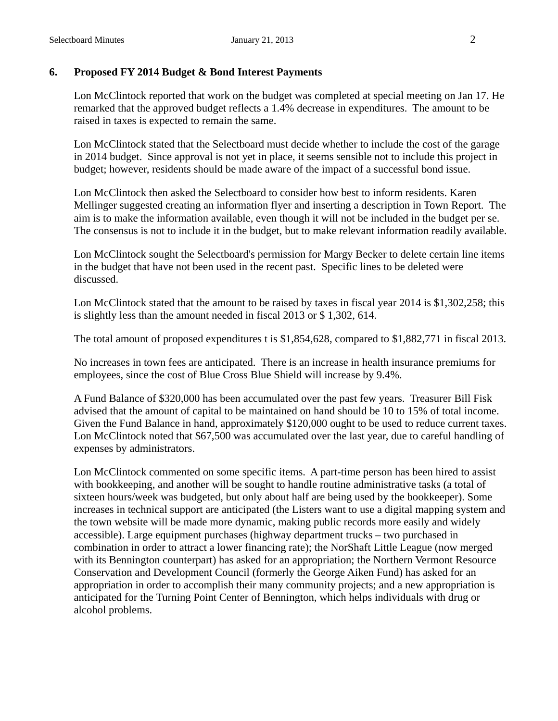## **6. Proposed FY 2014 Budget & Bond Interest Payments**

Lon McClintock reported that work on the budget was completed at special meeting on Jan 17. He remarked that the approved budget reflects a 1.4% decrease in expenditures. The amount to be raised in taxes is expected to remain the same.

Lon McClintock stated that the Selectboard must decide whether to include the cost of the garage in 2014 budget. Since approval is not yet in place, it seems sensible not to include this project in budget; however, residents should be made aware of the impact of a successful bond issue.

Lon McClintock then asked the Selectboard to consider how best to inform residents. Karen Mellinger suggested creating an information flyer and inserting a description in Town Report. The aim is to make the information available, even though it will not be included in the budget per se. The consensus is not to include it in the budget, but to make relevant information readily available.

Lon McClintock sought the Selectboard's permission for Margy Becker to delete certain line items in the budget that have not been used in the recent past. Specific lines to be deleted were discussed.

Lon McClintock stated that the amount to be raised by taxes in fiscal year 2014 is \$1,302,258; this is slightly less than the amount needed in fiscal 2013 or \$ 1,302, 614.

The total amount of proposed expenditures t is \$1,854,628, compared to \$1,882,771 in fiscal 2013.

No increases in town fees are anticipated. There is an increase in health insurance premiums for employees, since the cost of Blue Cross Blue Shield will increase by 9.4%.

A Fund Balance of \$320,000 has been accumulated over the past few years. Treasurer Bill Fisk advised that the amount of capital to be maintained on hand should be 10 to 15% of total income. Given the Fund Balance in hand, approximately \$120,000 ought to be used to reduce current taxes. Lon McClintock noted that \$67,500 was accumulated over the last year, due to careful handling of expenses by administrators.

Lon McClintock commented on some specific items. A part-time person has been hired to assist with bookkeeping, and another will be sought to handle routine administrative tasks (a total of sixteen hours/week was budgeted, but only about half are being used by the bookkeeper). Some increases in technical support are anticipated (the Listers want to use a digital mapping system and the town website will be made more dynamic, making public records more easily and widely accessible). Large equipment purchases (highway department trucks – two purchased in combination in order to attract a lower financing rate); the NorShaft Little League (now merged with its Bennington counterpart) has asked for an appropriation; the Northern Vermont Resource Conservation and Development Council (formerly the George Aiken Fund) has asked for an appropriation in order to accomplish their many community projects; and a new appropriation is anticipated for the Turning Point Center of Bennington, which helps individuals with drug or alcohol problems.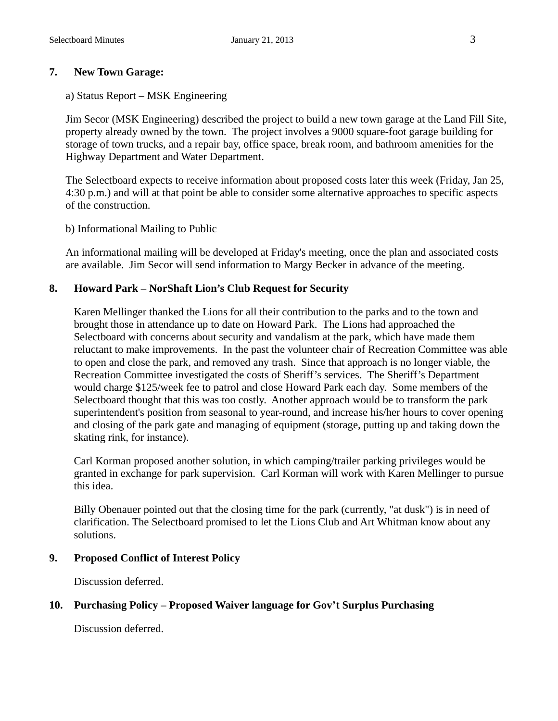# **7. New Town Garage:**

## a) Status Report – MSK Engineering

Jim Secor (MSK Engineering) described the project to build a new town garage at the Land Fill Site, property already owned by the town. The project involves a 9000 square-foot garage building for storage of town trucks, and a repair bay, office space, break room, and bathroom amenities for the Highway Department and Water Department.

The Selectboard expects to receive information about proposed costs later this week (Friday, Jan 25, 4:30 p.m.) and will at that point be able to consider some alternative approaches to specific aspects of the construction.

## b) Informational Mailing to Public

An informational mailing will be developed at Friday's meeting, once the plan and associated costs are available. Jim Secor will send information to Margy Becker in advance of the meeting.

# **8. Howard Park – NorShaft Lion's Club Request for Security**

Karen Mellinger thanked the Lions for all their contribution to the parks and to the town and brought those in attendance up to date on Howard Park. The Lions had approached the Selectboard with concerns about security and vandalism at the park, which have made them reluctant to make improvements. In the past the volunteer chair of Recreation Committee was able to open and close the park, and removed any trash. Since that approach is no longer viable, the Recreation Committee investigated the costs of Sheriff's services. The Sheriff's Department would charge \$125/week fee to patrol and close Howard Park each day. Some members of the Selectboard thought that this was too costly. Another approach would be to transform the park superintendent's position from seasonal to year-round, and increase his/her hours to cover opening and closing of the park gate and managing of equipment (storage, putting up and taking down the skating rink, for instance).

Carl Korman proposed another solution, in which camping/trailer parking privileges would be granted in exchange for park supervision. Carl Korman will work with Karen Mellinger to pursue this idea.

Billy Obenauer pointed out that the closing time for the park (currently, "at dusk") is in need of clarification. The Selectboard promised to let the Lions Club and Art Whitman know about any solutions.

## **9. Proposed Conflict of Interest Policy**

Discussion deferred.

# **10. Purchasing Policy – Proposed Waiver language for Gov't Surplus Purchasing**

Discussion deferred.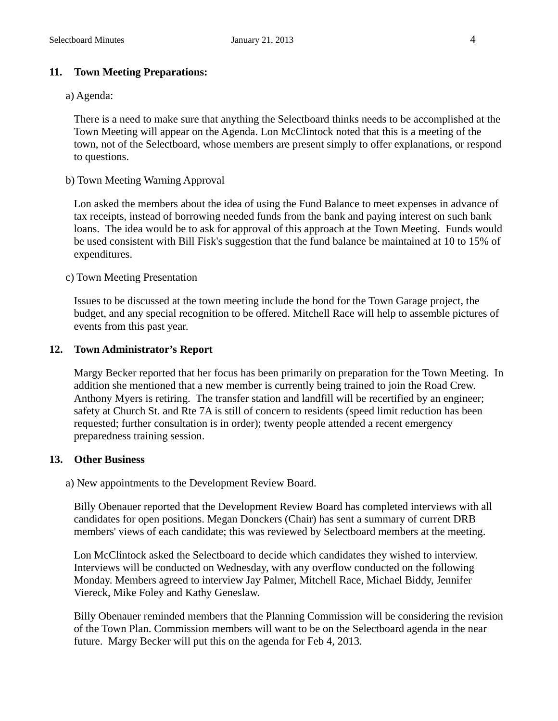# **11. Town Meeting Preparations:**

## a) Agenda:

There is a need to make sure that anything the Selectboard thinks needs to be accomplished at the Town Meeting will appear on the Agenda. Lon McClintock noted that this is a meeting of the town, not of the Selectboard, whose members are present simply to offer explanations, or respond to questions.

b) Town Meeting Warning Approval

Lon asked the members about the idea of using the Fund Balance to meet expenses in advance of tax receipts, instead of borrowing needed funds from the bank and paying interest on such bank loans. The idea would be to ask for approval of this approach at the Town Meeting. Funds would be used consistent with Bill Fisk's suggestion that the fund balance be maintained at 10 to 15% of expenditures.

## c) Town Meeting Presentation

Issues to be discussed at the town meeting include the bond for the Town Garage project, the budget, and any special recognition to be offered. Mitchell Race will help to assemble pictures of events from this past year.

## **12. Town Administrator's Report**

Margy Becker reported that her focus has been primarily on preparation for the Town Meeting. In addition she mentioned that a new member is currently being trained to join the Road Crew. Anthony Myers is retiring. The transfer station and landfill will be recertified by an engineer; safety at Church St. and Rte 7A is still of concern to residents (speed limit reduction has been requested; further consultation is in order); twenty people attended a recent emergency preparedness training session.

## **13. Other Business**

a) New appointments to the Development Review Board.

Billy Obenauer reported that the Development Review Board has completed interviews with all candidates for open positions. Megan Donckers (Chair) has sent a summary of current DRB members' views of each candidate; this was reviewed by Selectboard members at the meeting.

Lon McClintock asked the Selectboard to decide which candidates they wished to interview. Interviews will be conducted on Wednesday, with any overflow conducted on the following Monday. Members agreed to interview Jay Palmer, Mitchell Race, Michael Biddy, Jennifer Viereck, Mike Foley and Kathy Geneslaw.

Billy Obenauer reminded members that the Planning Commission will be considering the revision of the Town Plan. Commission members will want to be on the Selectboard agenda in the near future. Margy Becker will put this on the agenda for Feb 4, 2013.